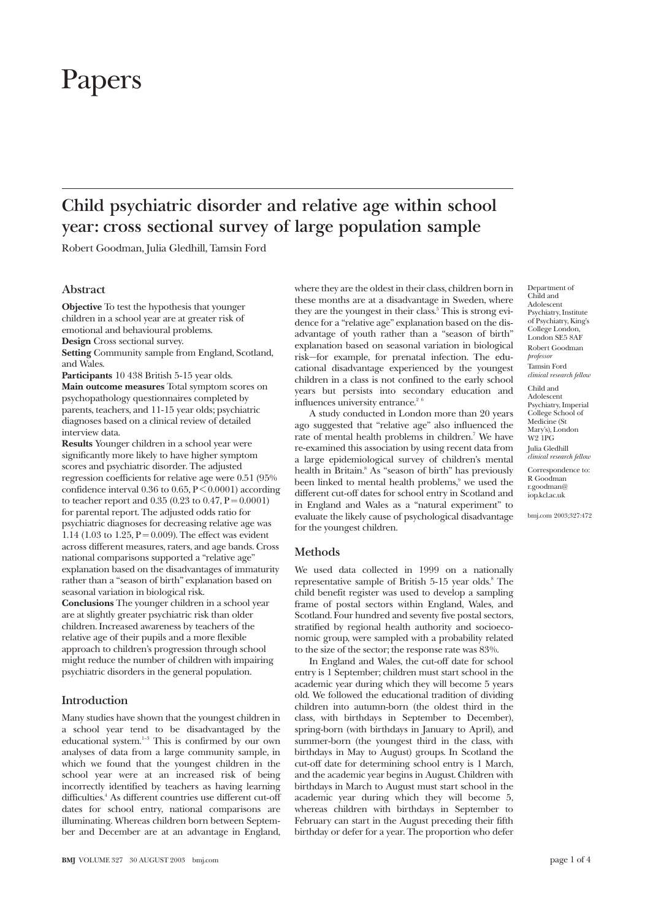# Papers

# **Child psychiatric disorder and relative age within school year: cross sectional survey of large population sample**

Robert Goodman, Julia Gledhill, Tamsin Ford

# **Abstract**

**Objective** To test the hypothesis that younger children in a school year are at greater risk of emotional and behavioural problems. **Design** Cross sectional survey.

**Setting** Community sample from England, Scotland, and Wales.

**Participants** 10 438 British 5-15 year olds. **Main outcome measures** Total symptom scores on psychopathology questionnaires completed by parents, teachers, and 11-15 year olds; psychiatric diagnoses based on a clinical review of detailed interview data.

**Results** Younger children in a school year were significantly more likely to have higher symptom scores and psychiatric disorder. The adjusted regression coefficients for relative age were 0.51 (95% confidence interval  $0.36$  to  $0.65$ ,  $P \le 0.0001$ ) according to teacher report and  $0.35$  (0.23 to 0.47,  $P = 0.0001$ ) for parental report. The adjusted odds ratio for psychiatric diagnoses for decreasing relative age was 1.14 (1.03 to 1.25,  $P = 0.009$ ). The effect was evident across different measures, raters, and age bands. Cross national comparisons supported a "relative age" explanation based on the disadvantages of immaturity rather than a "season of birth" explanation based on seasonal variation in biological risk. **Conclusions** The younger children in a school year are at slightly greater psychiatric risk than older children. Increased awareness by teachers of the

relative age of their pupils and a more flexible approach to children's progression through school might reduce the number of children with impairing psychiatric disorders in the general population.

## **Introduction**

Many studies have shown that the youngest children in a school year tend to be disadvantaged by the educational system. $1-3$  This is confirmed by our own analyses of data from a large community sample, in which we found that the youngest children in the school year were at an increased risk of being incorrectly identified by teachers as having learning difficulties.<sup>4</sup> As different countries use different cut-off dates for school entry, national comparisons are illuminating. Whereas children born between September and December are at an advantage in England, where they are the oldest in their class, children born in these months are at a disadvantage in Sweden, where they are the youngest in their class.<sup>5</sup> This is strong evidence for a "relative age" explanation based on the disadvantage of youth rather than a "season of birth" explanation based on seasonal variation in biological risk—for example, for prenatal infection. The educational disadvantage experienced by the youngest children in a class is not confined to the early school years but persists into secondary education and influences university entrance.<sup>2</sup>

A study conducted in London more than 20 years ago suggested that "relative age" also influenced the rate of mental health problems in children.<sup>7</sup> We have re-examined this association by using recent data from a large epidemiological survey of children's mental health in Britain.<sup>8</sup> As "season of birth" has previously been linked to mental health problems,<sup>9</sup> we used the different cut-off dates for school entry in Scotland and in England and Wales as a "natural experiment" to evaluate the likely cause of psychological disadvantage for the youngest children.

**Methods**

We used data collected in 1999 on a nationally representative sample of British 5-15 year olds.<sup>8</sup> The child benefit register was used to develop a sampling frame of postal sectors within England, Wales, and Scotland. Four hundred and seventy five postal sectors, stratified by regional health authority and socioeconomic group, were sampled with a probability related to the size of the sector; the response rate was 83%.

In England and Wales, the cut-off date for school entry is 1 September; children must start school in the academic year during which they will become 5 years old. We followed the educational tradition of dividing children into autumn-born (the oldest third in the class, with birthdays in September to December), spring-born (with birthdays in January to April), and summer-born (the youngest third in the class, with birthdays in May to August) groups. In Scotland the cut-off date for determining school entry is 1 March, and the academic year begins in August. Children with birthdays in March to August must start school in the academic year during which they will become 5, whereas children with birthdays in September to February can start in the August preceding their fifth birthday or defer for a year. The proportion who defer

Department of Child and Adolescent Psychiatry, Institute of Psychiatry, King's College London, London SE5 8AF Robert Goodman *professor* Tamsin Ford *clinical research fellow* Child and Adolescent Psychiatry, Imperial College School of Medicine (St

Mary's), London W2 1PG Julia Gledhill *clinical research fellow*

Correspondence to: R Goodman r.goodman@ iop.kcl.ac.uk

bmj.com 2003;327:472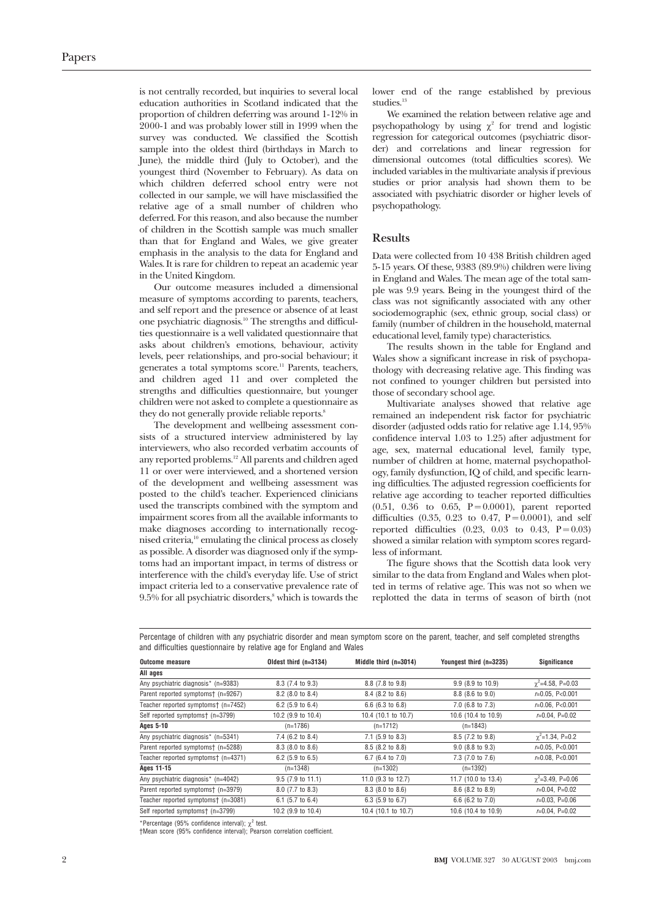is not centrally recorded, but inquiries to several local education authorities in Scotland indicated that the proportion of children deferring was around 1-12% in 2000-1 and was probably lower still in 1999 when the survey was conducted. We classified the Scottish sample into the oldest third (birthdays in March to June), the middle third (July to October), and the youngest third (November to February). As data on which children deferred school entry were not collected in our sample, we will have misclassified the relative age of a small number of children who deferred. For this reason, and also because the number of children in the Scottish sample was much smaller than that for England and Wales, we give greater emphasis in the analysis to the data for England and Wales. It is rare for children to repeat an academic year in the United Kingdom.

Our outcome measures included a dimensional measure of symptoms according to parents, teachers, and self report and the presence or absence of at least one psychiatric diagnosis.10 The strengths and difficulties questionnaire is a well validated questionnaire that asks about children's emotions, behaviour, activity levels, peer relationships, and pro-social behaviour; it generates a total symptoms score.<sup>11</sup> Parents, teachers, and children aged 11 and over completed the strengths and difficulties questionnaire, but younger children were not asked to complete a questionnaire as they do not generally provide reliable reports.<sup>8</sup>

The development and wellbeing assessment consists of a structured interview administered by lay interviewers, who also recorded verbatim accounts of any reported problems.12 All parents and children aged 11 or over were interviewed, and a shortened version of the development and wellbeing assessment was posted to the child's teacher. Experienced clinicians used the transcripts combined with the symptom and impairment scores from all the available informants to make diagnoses according to internationally recognised criteria,10 emulating the clinical process as closely as possible. A disorder was diagnosed only if the symptoms had an important impact, in terms of distress or interference with the child's everyday life. Use of strict impact criteria led to a conservative prevalence rate of  $9.5\%$  for all psychiatric disorders, $\mathrm{8}$  which is towards the lower end of the range established by previous studies.13

We examined the relation between relative age and psychopathology by using  $\chi^2$  for trend and logistic regression for categorical outcomes (psychiatric disorder) and correlations and linear regression for dimensional outcomes (total difficulties scores). We included variables in the multivariate analysis if previous studies or prior analysis had shown them to be associated with psychiatric disorder or higher levels of psychopathology.

#### **Results**

Data were collected from 10 438 British children aged 5-15 years. Of these, 9383 (89.9%) children were living in England and Wales. The mean age of the total sample was 9.9 years. Being in the youngest third of the class was not significantly associated with any other sociodemographic (sex, ethnic group, social class) or family (number of children in the household, maternal educational level, family type) characteristics.

The results shown in the table for England and Wales show a significant increase in risk of psychopathology with decreasing relative age. This finding was not confined to younger children but persisted into those of secondary school age.

Multivariate analyses showed that relative age remained an independent risk factor for psychiatric disorder (adjusted odds ratio for relative age 1.14, 95% confidence interval 1.03 to 1.25) after adjustment for age, sex, maternal educational level, family type, number of children at home, maternal psychopathology, family dysfunction, IQ of child, and specific learning difficulties. The adjusted regression coefficients for relative age according to teacher reported difficulties  $(0.51, 0.36$  to  $0.65, P = 0.0001$ ), parent reported difficulties  $(0.35, 0.23 \text{ to } 0.47, P = 0.0001)$ , and self reported difficulties  $(0.23, 0.03 \text{ to } 0.43, P = 0.03)$ showed a similar relation with symptom scores regardless of informant.

The figure shows that the Scottish data look very similar to the data from England and Wales when plotted in terms of relative age. This was not so when we replotted the data in terms of season of birth (not

Percentage of children with any psychiatric disorder and mean symptom score on the parent, teacher, and self completed strengths and difficulties questionnaire by relative age for England and Wales

| <b>Outcome measure</b>              | Oldest third (n=3134)       | Middle third (n=3014)       | Youngest third (n=3235) | Significance             |
|-------------------------------------|-----------------------------|-----------------------------|-------------------------|--------------------------|
| All ages                            |                             |                             |                         |                          |
| Any psychiatric diagnosis* (n=9383) | 8.3 (7.4 to 9.3)            | 8.8 (7.8 to 9.8)            | 9.9 (8.9 to 10.9)       | $\gamma^2$ =4.58, P=0.03 |
| Parent reported symptoms† (n=9267)  | 8.2 (8.0 to 8.4)            | 8.4 (8.2 to 8.6)            | 8.8 (8.6 to 9.0)        | $r=0.05$ , P<0.001       |
| Teacher reported symptomst (n=7452) | 6.2 $(5.9 \text{ to } 6.4)$ | $6.6$ (6.3 to 6.8)          | 7.0 (6.8 to 7.3)        | $r=0.06$ . P<0.001       |
| Self reported symptoms† (n=3799)    | 10.2 (9.9 to 10.4)          | 10.4 (10.1 to 10.7)         | 10.6 (10.4 to 10.9)     | $r=0.04$ , P=0.02        |
| <b>Ages 5-10</b>                    | $(n=1786)$                  | $(n=1712)$                  | $(n=1843)$              |                          |
| Any psychiatric diagnosis* (n=5341) | 7.4 (6.2 to 8.4)            | $7.1$ (5.9 to 8.3)          | 8.5 (7.2 to 9.8)        | $\gamma^2$ =1.34, P=0.2  |
| Parent reported symptoms† (n=5288)  | 8.3 (8.0 to 8.6)            | 8.5 (8.2 to 8.8)            | $9.0$ (8.8 to $9.3$ )   | $r=0.05$ , P<0.001       |
| Teacher reported symptoms† (n=4371) | 6.2 $(5.9 \text{ to } 6.5)$ | 6.7 (6.4 to 7.0)            | 7.3 (7.0 to 7.6)        | $r=0.08$ , P<0.001       |
| Ages 11-15                          | $(n=1348)$                  | $(n=1302)$                  | $(n=1392)$              |                          |
| Any psychiatric diagnosis* (n=4042) | $9.5$ (7.9 to 11.1)         | 11.0 (9.3 to 12.7)          | 11.7 (10.0 to 13.4)     | $\gamma^2$ =3.49, P=0.06 |
| Parent reported symptoms† (n=3979)  | 8.0 (7.7 to 8.3)            | 8.3 (8.0 to 8.6)            | 8.6 (8.2 to 8.9)        | $r=0.04$ , P=0.02        |
| Teacher reported symptoms† (n=3081) | $6.1$ (5.7 to 6.4)          | 6.3 $(5.9 \text{ to } 6.7)$ | 6.6 (6.2 to $7.0$ )     | $r=0.03$ , P=0.06        |
| Self reported symptoms† (n=3799)    | 10.2 (9.9 to 10.4)          | 10.4 (10.1 to 10.7)         | 10.6 (10.4 to 10.9)     | $r=0.04$ , P=0.02        |

\*Percentage (95% confidence interval);  $\chi^2$  test.<br>†Mean score (95% confidence interval); Pearson correlation coefficient.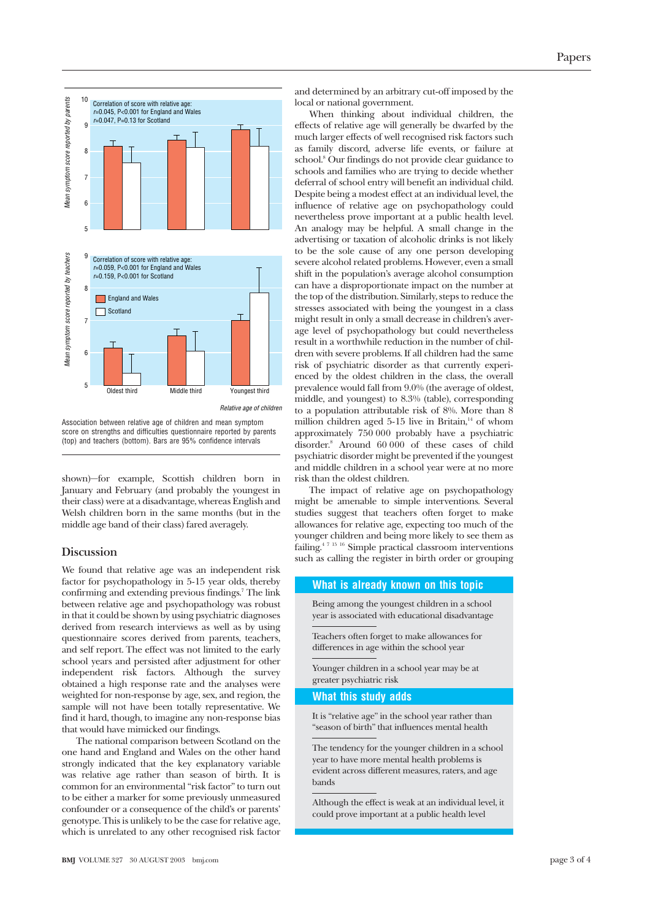

Association between relative age of children and mean symptom score on strengths and difficulties questionnaire reported by parents (top) and teachers (bottom). Bars are 95% confidence intervals

shown)—for example, Scottish children born in January and February (and probably the youngest in their class) were at a disadvantage, whereas English and Welsh children born in the same months (but in the middle age band of their class) fared averagely.

### **Discussion**

We found that relative age was an independent risk factor for psychopathology in 5-15 year olds, thereby confirming and extending previous findings.7 The link between relative age and psychopathology was robust in that it could be shown by using psychiatric diagnoses derived from research interviews as well as by using questionnaire scores derived from parents, teachers, and self report. The effect was not limited to the early school years and persisted after adjustment for other independent risk factors. Although the survey obtained a high response rate and the analyses were weighted for non-response by age, sex, and region, the sample will not have been totally representative. We find it hard, though, to imagine any non-response bias that would have mimicked our findings.

The national comparison between Scotland on the one hand and England and Wales on the other hand strongly indicated that the key explanatory variable was relative age rather than season of birth. It is common for an environmental "risk factor" to turn out to be either a marker for some previously unmeasured confounder or a consequence of the child's or parents' genotype. This is unlikely to be the case for relative age, which is unrelated to any other recognised risk factor and determined by an arbitrary cut-off imposed by the local or national government.

When thinking about individual children, the effects of relative age will generally be dwarfed by the much larger effects of well recognised risk factors such as family discord, adverse life events, or failure at school.<sup>8</sup> Our findings do not provide clear guidance to schools and families who are trying to decide whether deferral of school entry will benefit an individual child. Despite being a modest effect at an individual level, the influence of relative age on psychopathology could nevertheless prove important at a public health level. An analogy may be helpful. A small change in the advertising or taxation of alcoholic drinks is not likely to be the sole cause of any one person developing severe alcohol related problems. However, even a small shift in the population's average alcohol consumption can have a disproportionate impact on the number at the top of the distribution. Similarly, steps to reduce the stresses associated with being the youngest in a class might result in only a small decrease in children's average level of psychopathology but could nevertheless result in a worthwhile reduction in the number of children with severe problems. If all children had the same risk of psychiatric disorder as that currently experienced by the oldest children in the class, the overall prevalence would fall from 9.0% (the average of oldest, middle, and youngest) to 8.3% (table), corresponding to a population attributable risk of 8%. More than 8 million children aged  $5-15$  live in Britain,<sup>14</sup> of whom approximately 750 000 probably have a psychiatric disorder.8 Around 60 000 of these cases of child psychiatric disorder might be prevented if the youngest and middle children in a school year were at no more risk than the oldest children.

The impact of relative age on psychopathology might be amenable to simple interventions. Several studies suggest that teachers often forget to make allowances for relative age, expecting too much of the younger children and being more likely to see them as failing.4 7 15 16 Simple practical classroom interventions such as calling the register in birth order or grouping

#### **What is already known on this topic**

Being among the youngest children in a school year is associated with educational disadvantage

Teachers often forget to make allowances for differences in age within the school year

Younger children in a school year may be at greater psychiatric risk

#### **What this study adds**

It is "relative age" in the school year rather than "season of birth" that influences mental health

The tendency for the younger children in a school year to have more mental health problems is evident across different measures, raters, and age bands

Although the effect is weak at an individual level, it could prove important at a public health level